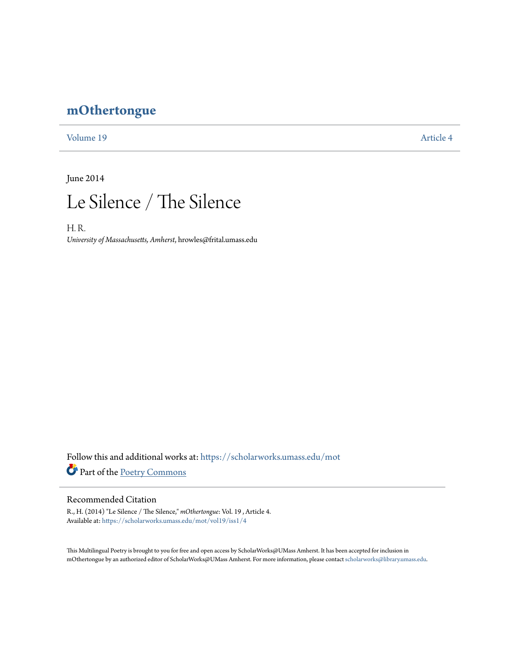## **[mOthertongue](https://scholarworks.umass.edu/mot?utm_source=scholarworks.umass.edu%2Fmot%2Fvol19%2Fiss1%2F4&utm_medium=PDF&utm_campaign=PDFCoverPages)**

[Volume 19](https://scholarworks.umass.edu/mot/vol19?utm_source=scholarworks.umass.edu%2Fmot%2Fvol19%2Fiss1%2F4&utm_medium=PDF&utm_campaign=PDFCoverPages) [Article 4](https://scholarworks.umass.edu/mot/vol19/iss1/4?utm_source=scholarworks.umass.edu%2Fmot%2Fvol19%2Fiss1%2F4&utm_medium=PDF&utm_campaign=PDFCoverPages)

June 2014



H. R. *University of Massachusetts, Amherst*, hrowles@frital.umass.edu

Follow this and additional works at: [https://scholarworks.umass.edu/mot](https://scholarworks.umass.edu/mot?utm_source=scholarworks.umass.edu%2Fmot%2Fvol19%2Fiss1%2F4&utm_medium=PDF&utm_campaign=PDFCoverPages) Part of the [Poetry Commons](http://network.bepress.com/hgg/discipline/1153?utm_source=scholarworks.umass.edu%2Fmot%2Fvol19%2Fiss1%2F4&utm_medium=PDF&utm_campaign=PDFCoverPages)

## Recommended Citation

R., H. (2014) "Le Silence / The Silence," *mOthertongue*: Vol. 19 , Article 4. Available at: [https://scholarworks.umass.edu/mot/vol19/iss1/4](https://scholarworks.umass.edu/mot/vol19/iss1/4?utm_source=scholarworks.umass.edu%2Fmot%2Fvol19%2Fiss1%2F4&utm_medium=PDF&utm_campaign=PDFCoverPages)

This Multilingual Poetry is brought to you for free and open access by ScholarWorks@UMass Amherst. It has been accepted for inclusion in mOthertongue by an authorized editor of ScholarWorks@UMass Amherst. For more information, please contact [scholarworks@library.umass.edu](mailto:scholarworks@library.umass.edu).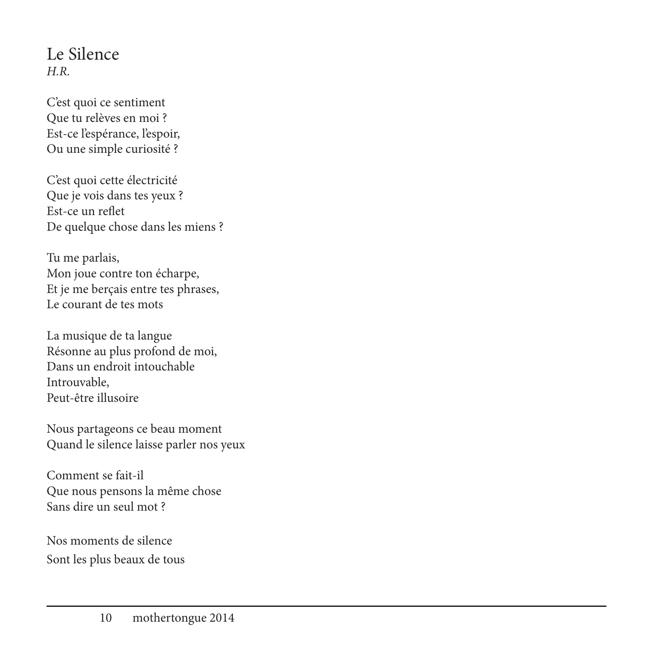## Le Silence *H.R.*

C'est quoi ce sentiment Que tu relèves en moi ? Est-ce l'espérance, l'espoir, Ou une simple curiosité ?

C'est quoi cette électricité Que je vois dans tes yeux ? Est-ce un reflet De quelque chose dans les miens ?

Tu me parlais, Mon joue contre ton écharpe, Et je me berçais entre tes phrases, Le courant de tes mots

La musique de ta langue Résonne au plus profond de moi, Dans un endroit intouchable Introuvable, Peut-être illusoire

Nous partageons ce beau moment Quand le silence laisse parler nos yeux

Comment se fait-il Que nous pensons la même chose Sans dire un seul mot ?

Nos moments de silence Sont les plus beaux de tous